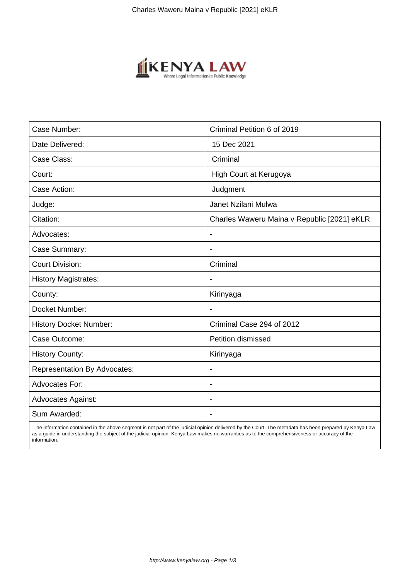

| Case Number:                        | Criminal Petition 6 of 2019                 |
|-------------------------------------|---------------------------------------------|
| Date Delivered:                     | 15 Dec 2021                                 |
| Case Class:                         | Criminal                                    |
| Court:                              | High Court at Kerugoya                      |
| Case Action:                        | Judgment                                    |
| Judge:                              | Janet Nzilani Mulwa                         |
| Citation:                           | Charles Waweru Maina v Republic [2021] eKLR |
| Advocates:                          | $\blacksquare$                              |
| Case Summary:                       |                                             |
| <b>Court Division:</b>              | Criminal                                    |
| <b>History Magistrates:</b>         |                                             |
| County:                             | Kirinyaga                                   |
| Docket Number:                      |                                             |
| <b>History Docket Number:</b>       | Criminal Case 294 of 2012                   |
| Case Outcome:                       | <b>Petition dismissed</b>                   |
| <b>History County:</b>              | Kirinyaga                                   |
| <b>Representation By Advocates:</b> | $\blacksquare$                              |
| <b>Advocates For:</b>               | $\overline{\phantom{a}}$                    |
| <b>Advocates Against:</b>           |                                             |
| Sum Awarded:                        |                                             |

 The information contained in the above segment is not part of the judicial opinion delivered by the Court. The metadata has been prepared by Kenya Law as a guide in understanding the subject of the judicial opinion. Kenya Law makes no warranties as to the comprehensiveness or accuracy of the information.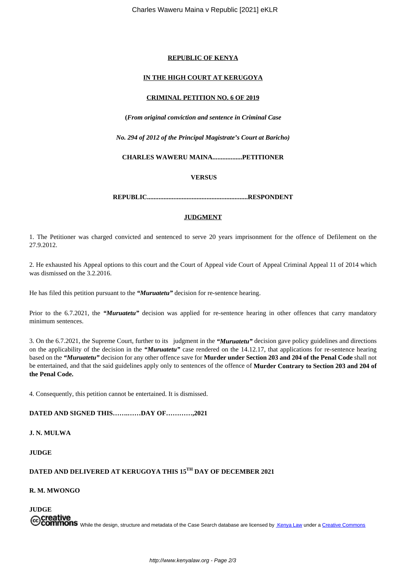## **REPUBLIC OF KENYA**

## **IN THE HIGH COURT AT KERUGOYA**

## **CRIMINAL PETITION NO. 6 OF 2019**

**(***From original conviction and sentence in Criminal Case*

*No. 294 of 2012 of the Principal Magistrate's Court at Baricho)*

**CHARLES WAWERU MAINA..................PETITIONER**

**VERSUS**

**REPUBLIC.............................................................RESPONDENT**

## **JUDGMENT**

1. The Petitioner was charged convicted and sentenced to serve 20 years imprisonment for the offence of Defilement on the 27.9.2012.

2. He exhausted his Appeal options to this court and the Court of Appeal vide Court of Appeal Criminal Appeal 11 of 2014 which was dismissed on the 3.2.2016.

He has filed this petition pursuant to the *"Muruatetu"* decision for re-sentence hearing.

Prior to the 6.7.2021, the *"Muruatetu"* decision was applied for re-sentence hearing in other offences that carry mandatory minimum sentences.

3. On the 6.7.2021, the Supreme Court, further to its judgment in the *"Muruatetu"* decision gave policy guidelines and directions on the applicability of the decision in the *"Muruatetu"* case rendered on the 14.12.17, that applications for re-sentence hearing based on the *"Muruatetu"* decision for any other offence save for **Murder under Section 203 and 204 of the Penal Code** shall not be entertained, and that the said guidelines apply only to sentences of the offence of **Murder Contrary to Section 203 and 204 of the Penal Code.**

4. Consequently, this petition cannot be entertained. It is dismissed.

**DATED AND SIGNED THIS…….……DAY OF…………,2021**

**J. N. MULWA**

**JUDGE**

**DATED AND DELIVERED AT KERUGOYA THIS 15TH DAY OF DECEMBER 2021**

**R. M. MWONGO**

**JUDGE** Creative<br>Commons While the design, structure and metadata of the Case Search database are licensed by Kenya Law under a Creative Commons